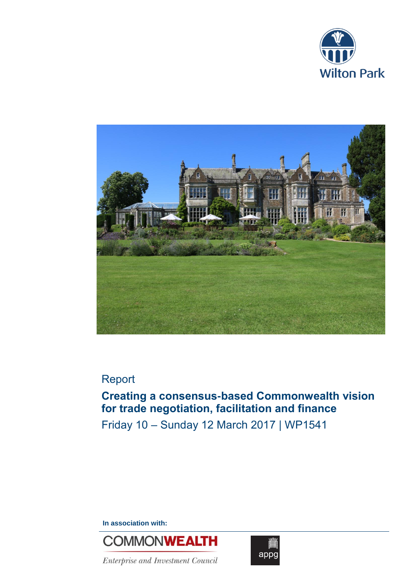



# Report

# **Creating a consensus-based Commonwealth vision for trade negotiation, facilitation and finance**

Friday 10 – Sunday 12 March 2017 | WP1541

**In association with:**



Enterprise and Investment Council

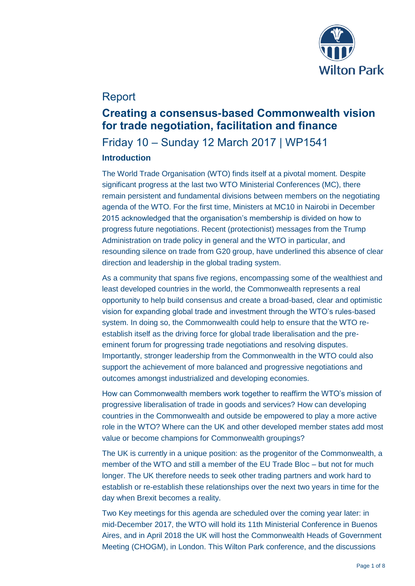

## Report

## **Creating a consensus-based Commonwealth vision for trade negotiation, facilitation and finance**

### Friday 10 – Sunday 12 March 2017 | WP1541 **Introduction**

### The World Trade Organisation (WTO) finds itself at a pivotal moment. Despite significant progress at the last two WTO Ministerial Conferences (MC), there remain persistent and fundamental divisions between members on the negotiating agenda of the WTO. For the first time, Ministers at MC10 in Nairobi in December 2015 acknowledged that the organisation's membership is divided on how to progress future negotiations. Recent (protectionist) messages from the Trump Administration on trade policy in general and the WTO in particular, and resounding silence on trade from G20 group, have underlined this absence of clear direction and leadership in the global trading system.

As a community that spans five regions, encompassing some of the wealthiest and least developed countries in the world, the Commonwealth represents a real opportunity to help build consensus and create a broad-based, clear and optimistic vision for expanding global trade and investment through the WTO's rules-based system. In doing so, the Commonwealth could help to ensure that the WTO reestablish itself as the driving force for global trade liberalisation and the preeminent forum for progressing trade negotiations and resolving disputes. Importantly, stronger leadership from the Commonwealth in the WTO could also support the achievement of more balanced and progressive negotiations and outcomes amongst industrialized and developing economies.

How can Commonwealth members work together to reaffirm the WTO's mission of progressive liberalisation of trade in goods and services? How can developing countries in the Commonwealth and outside be empowered to play a more active role in the WTO? Where can the UK and other developed member states add most value or become champions for Commonwealth groupings?

The UK is currently in a unique position: as the progenitor of the Commonwealth, a member of the WTO and still a member of the EU Trade Bloc – but not for much longer. The UK therefore needs to seek other trading partners and work hard to establish or re-establish these relationships over the next two years in time for the day when Brexit becomes a reality.

Two Key meetings for this agenda are scheduled over the coming year later: in mid-December 2017, the WTO will hold its 11th Ministerial Conference in Buenos Aires, and in April 2018 the UK will host the Commonwealth Heads of Government Meeting (CHOGM), in London. This Wilton Park conference, and the discussions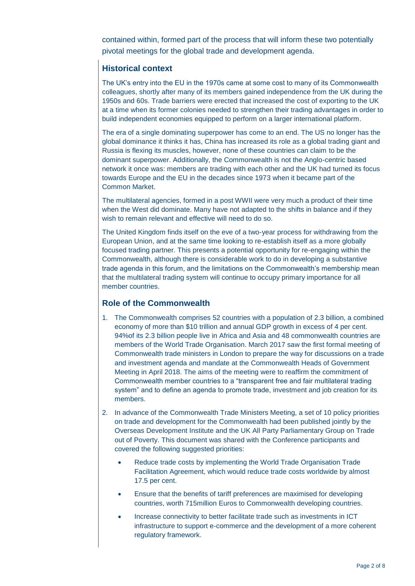contained within, formed part of the process that will inform these two potentially pivotal meetings for the global trade and development agenda.

### **Historical context**

The UK's entry into the EU in the 1970s came at some cost to many of its Commonwealth colleagues, shortly after many of its members gained independence from the UK during the 1950s and 60s. Trade barriers were erected that increased the cost of exporting to the UK at a time when its former colonies needed to strengthen their trading advantages in order to build independent economies equipped to perform on a larger international platform.

The era of a single dominating superpower has come to an end. The US no longer has the global dominance it thinks it has, China has increased its role as a global trading giant and Russia is flexing its muscles, however, none of these countries can claim to be the dominant superpower. Additionally, the Commonwealth is not the Anglo-centric based network it once was: members are trading with each other and the UK had turned its focus towards Europe and the EU in the decades since 1973 when it became part of the Common Market.

The multilateral agencies, formed in a post WWII were very much a product of their time when the West did dominate. Many have not adapted to the shifts in balance and if they wish to remain relevant and effective will need to do so.

The United Kingdom finds itself on the eve of a two-year process for withdrawing from the European Union, and at the same time looking to re-establish itself as a more globally focused trading partner. This presents a potential opportunity for re-engaging within the Commonwealth, although there is considerable work to do in developing a substantive trade agenda in this forum, and the limitations on the Commonwealth's membership mean that the multilateral trading system will continue to occupy primary importance for all member countries.

#### **Role of the Commonwealth**

- 1. The Commonwealth comprises 52 countries with a population of 2.3 billion, a combined economy of more than \$10 trillion and annual GDP growth in excess of 4 per cent. 94%of its 2.3 billion people live in Africa and Asia and 48 commonwealth countries are members of the World Trade Organisation. March 2017 saw the first formal meeting of Commonwealth trade ministers in London to prepare the way for discussions on a trade and investment agenda and mandate at the Commonwealth Heads of Government Meeting in April 2018. The aims of the meeting were to reaffirm the commitment of Commonwealth member countries to a "transparent free and fair multilateral trading system" and to define an agenda to promote trade, investment and job creation for its members.
- 2. In advance of the Commonwealth Trade Ministers Meeting, a set of 10 policy priorities on trade and development for the Commonwealth had been published jointly by the Overseas Development Institute and the UK All Party Parliamentary Group on Trade out of Poverty. This document was shared with the Conference participants and covered the following suggested priorities:
	- Reduce trade costs by implementing the World Trade Organisation Trade Facilitation Agreement, which would reduce trade costs worldwide by almost 17.5 per cent.
	- Ensure that the benefits of tariff preferences are maximised for developing countries, worth 715million Euros to Commonwealth developing countries.
	- Increase connectivity to better facilitate trade such as investments in ICT infrastructure to support e-commerce and the development of a more coherent regulatory framework.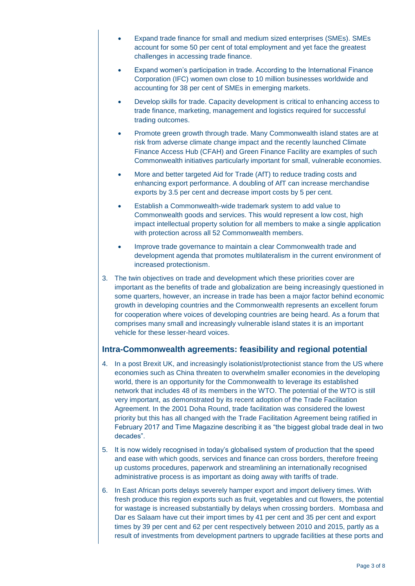- Expand trade finance for small and medium sized enterprises (SMEs). SMEs account for some 50 per cent of total employment and yet face the greatest challenges in accessing trade finance.
- Expand women's participation in trade. According to the International Finance Corporation (IFC) women own close to 10 million businesses worldwide and accounting for 38 per cent of SMEs in emerging markets.
- Develop skills for trade. Capacity development is critical to enhancing access to trade finance, marketing, management and logistics required for successful trading outcomes.
- Promote green growth through trade. Many Commonwealth island states are at risk from adverse climate change impact and the recently launched Climate Finance Access Hub (CFAH) and Green Finance Facility are examples of such Commonwealth initiatives particularly important for small, vulnerable economies.
- More and better targeted Aid for Trade (AfT) to reduce trading costs and enhancing export performance. A doubling of AfT can increase merchandise exports by 3.5 per cent and decrease import costs by 5 per cent.
- Establish a Commonwealth-wide trademark system to add value to Commonwealth goods and services. This would represent a low cost, high impact intellectual property solution for all members to make a single application with protection across all 52 Commonwealth members.
- Improve trade governance to maintain a clear Commonwealth trade and development agenda that promotes multilateralism in the current environment of increased protectionism.
- 3. The twin objectives on trade and development which these priorities cover are important as the benefits of trade and globalization are being increasingly questioned in some quarters, however, an increase in trade has been a major factor behind economic growth in developing countries and the Commonwealth represents an excellent forum for cooperation where voices of developing countries are being heard. As a forum that comprises many small and increasingly vulnerable island states it is an important vehicle for these lesser-heard voices.

#### **Intra-Commonwealth agreements: feasibility and regional potential**

- 4. In a post Brexit UK, and increasingly isolationist/protectionist stance from the US where economies such as China threaten to overwhelm smaller economies in the developing world, there is an opportunity for the Commonwealth to leverage its established network that includes 48 of its members in the WTO. The potential of the WTO is still very important, as demonstrated by its recent adoption of the Trade Facilitation Agreement. In the 2001 Doha Round, trade facilitation was considered the lowest priority but this has all changed with the Trade Facilitation Agreement being ratified in February 2017 and Time Magazine describing it as "the biggest global trade deal in two decades".
- 5. It is now widely recognised in today's globalised system of production that the speed and ease with which goods, services and finance can cross borders, therefore freeing up customs procedures, paperwork and streamlining an internationally recognised administrative process is as important as doing away with tariffs of trade.
- 6. In East African ports delays severely hamper export and import delivery times. With fresh produce this region exports such as fruit, vegetables and cut flowers, the potential for wastage is increased substantially by delays when crossing borders. Mombasa and Dar es Salaam have cut their import times by 41 per cent and 35 per cent and export times by 39 per cent and 62 per cent respectively between 2010 and 2015, partly as a result of investments from development partners to upgrade facilities at these ports and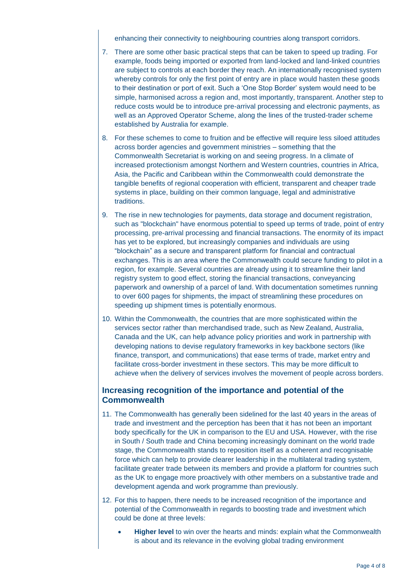enhancing their connectivity to neighbouring countries along transport corridors.

- 7. There are some other basic practical steps that can be taken to speed up trading. For example, foods being imported or exported from land-locked and land-linked countries are subject to controls at each border they reach. An internationally recognised system whereby controls for only the first point of entry are in place would hasten these goods to their destination or port of exit. Such a 'One Stop Border' system would need to be simple, harmonised across a region and, most importantly, transparent. Another step to reduce costs would be to introduce pre-arrival processing and electronic payments, as well as an Approved Operator Scheme, along the lines of the trusted-trader scheme established by Australia for example.
- 8. For these schemes to come to fruition and be effective will require less siloed attitudes across border agencies and government ministries – something that the Commonwealth Secretariat is working on and seeing progress. In a climate of increased protectionism amongst Northern and Western countries, countries in Africa, Asia, the Pacific and Caribbean within the Commonwealth could demonstrate the tangible benefits of regional cooperation with efficient, transparent and cheaper trade systems in place, building on their common language, legal and administrative traditions.
- 9. The rise in new technologies for payments, data storage and document registration, such as "blockchain" have enormous potential to speed up terms of trade, point of entry processing, pre-arrival processing and financial transactions. The enormity of its impact has yet to be explored, but increasingly companies and individuals are using "blockchain" as a secure and transparent platform for financial and contractual exchanges. This is an area where the Commonwealth could secure funding to pilot in a region, for example. Several countries are already using it to streamline their land registry system to good effect, storing the financial transactions, conveyancing paperwork and ownership of a parcel of land. With documentation sometimes running to over 600 pages for shipments, the impact of streamlining these procedures on speeding up shipment times is potentially enormous.
- 10. Within the Commonwealth, the countries that are more sophisticated within the services sector rather than merchandised trade, such as New Zealand, Australia, Canada and the UK, can help advance policy priorities and work in partnership with developing nations to devise regulatory frameworks in key backbone sectors (like finance, transport, and communications) that ease terms of trade, market entry and facilitate cross-border investment in these sectors. This may be more difficult to achieve when the delivery of services involves the movement of people across borders.

#### **Increasing recognition of the importance and potential of the Commonwealth**

- 11. The Commonwealth has generally been sidelined for the last 40 years in the areas of trade and investment and the perception has been that it has not been an important body specifically for the UK in comparison to the EU and USA. However, with the rise in South / South trade and China becoming increasingly dominant on the world trade stage, the Commonwealth stands to reposition itself as a coherent and recognisable force which can help to provide clearer leadership in the multilateral trading system, facilitate greater trade between its members and provide a platform for countries such as the UK to engage more proactively with other members on a substantive trade and development agenda and work programme than previously.
- 12. For this to happen, there needs to be increased recognition of the importance and potential of the Commonwealth in regards to boosting trade and investment which could be done at three levels:
	- **Higher level** to win over the hearts and minds: explain what the Commonwealth is about and its relevance in the evolving global trading environment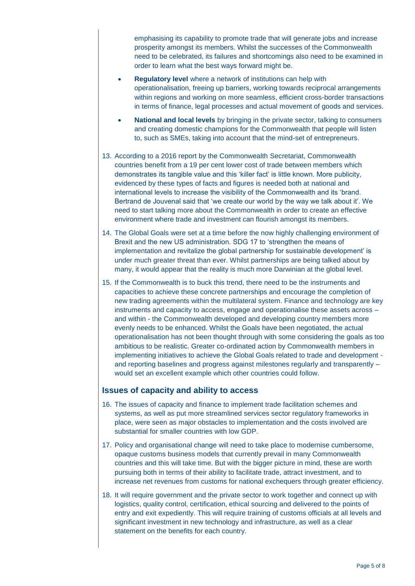emphasising its capability to promote trade that will generate jobs and increase prosperity amongst its members. Whilst the successes of the Commonwealth need to be celebrated, its failures and shortcomings also need to be examined in order to learn what the best ways forward might be.

- **Regulatory level** where a network of institutions can help with operationalisation, freeing up barriers, working towards reciprocal arrangements within regions and working on more seamless, efficient cross-border transactions in terms of finance, legal processes and actual movement of goods and services.
- **National and local levels** by bringing in the private sector, talking to consumers and creating domestic champions for the Commonwealth that people will listen to, such as SMEs, taking into account that the mind-set of entrepreneurs.
- 13. According to a 2016 report by the Commonwealth Secretariat, Commonwealth countries benefit from a 19 per cent lower cost of trade between members which demonstrates its tangible value and this 'killer fact' is little known. More publicity, evidenced by these types of facts and figures is needed both at national and international levels to increase the visibility of the Commonwealth and its 'brand. Bertrand de Jouvenal said that 'we create our world by the way we talk about it'. We need to start talking more about the Commonwealth in order to create an effective environment where trade and investment can flourish amongst its members.
- 14. The Global Goals were set at a time before the now highly challenging environment of Brexit and the new US administration. SDG 17 to 'strengthen the means of implementation and revitalize the global partnership for sustainable development' is under much greater threat than ever. Whilst partnerships are being talked about by many, it would appear that the reality is much more Darwinian at the global level.
- 15. If the Commonwealth is to buck this trend, there need to be the instruments and capacities to achieve these concrete partnerships and encourage the completion of new trading agreements within the multilateral system. Finance and technology are key instruments and capacity to access, engage and operationalise these assets across – and within - the Commonwealth developed and developing country members more evenly needs to be enhanced. Whilst the Goals have been negotiated, the actual operationalisation has not been thought through with some considering the goals as too ambitious to be realistic. Greater co-ordinated action by Commonwealth members in implementing initiatives to achieve the Global Goals related to trade and development and reporting baselines and progress against milestones regularly and transparently – would set an excellent example which other countries could follow.

#### **Issues of capacity and ability to access**

- 16. The issues of capacity and finance to implement trade facilitation schemes and systems, as well as put more streamlined services sector regulatory frameworks in place, were seen as major obstacles to implementation and the costs involved are substantial for smaller countries with low GDP.
- 17. Policy and organisational change will need to take place to modernise cumbersome, opaque customs business models that currently prevail in many Commonwealth countries and this will take time. But with the bigger picture in mind, these are worth pursuing both in terms of their ability to facilitate trade, attract investment, and to increase net revenues from customs for national exchequers through greater efficiency.
- 18. It will require government and the private sector to work together and connect up with logistics, quality control, certification, ethical sourcing and delivered to the points of entry and exit expediently. This will require training of customs officials at all levels and significant investment in new technology and infrastructure, as well as a clear statement on the benefits for each country.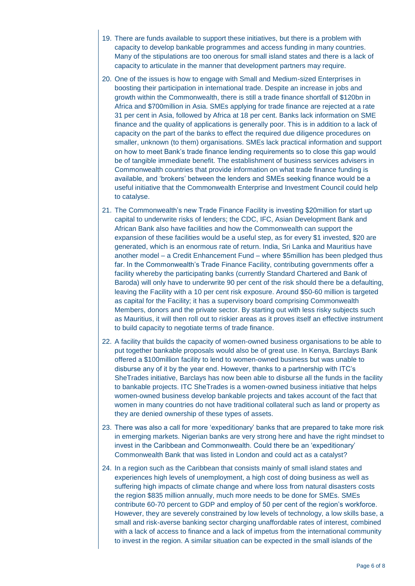- 19. There are funds available to support these initiatives, but there is a problem with capacity to develop bankable programmes and access funding in many countries. Many of the stipulations are too onerous for small island states and there is a lack of capacity to articulate in the manner that development partners may require.
- 20. One of the issues is how to engage with Small and Medium-sized Enterprises in boosting their participation in international trade. Despite an increase in jobs and growth within the Commonwealth, there is still a trade finance shortfall of \$120bn in Africa and \$700million in Asia. SMEs applying for trade finance are rejected at a rate 31 per cent in Asia, followed by Africa at 18 per cent. Banks lack information on SME finance and the quality of applications is generally poor. This is in addition to a lack of capacity on the part of the banks to effect the required due diligence procedures on smaller, unknown (to them) organisations. SMEs lack practical information and support on how to meet Bank's trade finance lending requirements so to close this gap would be of tangible immediate benefit. The establishment of business services advisers in Commonwealth countries that provide information on what trade finance funding is available, and 'brokers' between the lenders and SMEs seeking finance would be a useful initiative that the Commonwealth Enterprise and Investment Council could help to catalyse.
- 21. The Commonwealth's new Trade Finance Facility is investing \$20million for start up capital to underwrite risks of lenders; the CDC, IFC, Asian Development Bank and African Bank also have facilities and how the Commonwealth can support the expansion of these facilities would be a useful step, as for every \$1 invested, \$20 are generated, which is an enormous rate of return. India, Sri Lanka and Mauritius have another model – a Credit Enhancement Fund – where \$5million has been pledged thus far. In the Commonwealth's Trade Finance Facility, contributing governments offer a facility whereby the participating banks (currently Standard Chartered and Bank of Baroda) will only have to underwrite 90 per cent of the risk should there be a defaulting, leaving the Facility with a 10 per cent risk exposure. Around \$50-60 million is targeted as capital for the Facility; it has a supervisory board comprising Commonwealth Members, donors and the private sector. By starting out with less risky subjects such as Mauritius, it will then roll out to riskier areas as it proves itself an effective instrument to build capacity to negotiate terms of trade finance.
- 22. A facility that builds the capacity of women-owned business organisations to be able to put together bankable proposals would also be of great use. In Kenya, Barclays Bank offered a \$100million facility to lend to women-owned business but was unable to disburse any of it by the year end. However, thanks to a partnership with ITC's SheTrades initiative, Barclays has now been able to disburse all the funds in the facility to bankable projects. ITC SheTrades is a women-owned business initiative that helps women-owned business develop bankable projects and takes account of the fact that women in many countries do not have traditional collateral such as land or property as they are denied ownership of these types of assets.
- 23. There was also a call for more 'expeditionary' banks that are prepared to take more risk in emerging markets. Nigerian banks are very strong here and have the right mindset to invest in the Caribbean and Commonwealth. Could there be an 'expeditionary' Commonwealth Bank that was listed in London and could act as a catalyst?
- 24. In a region such as the Caribbean that consists mainly of small island states and experiences high levels of unemployment, a high cost of doing business as well as suffering high impacts of climate change and where loss from natural disasters costs the region \$835 million annually, much more needs to be done for SMEs. SMEs contribute 60-70 percent to GDP and employ of 50 per cent of the region's workforce. However, they are severely constrained by low levels of technology, a low skills base, a small and risk-averse banking sector charging unaffordable rates of interest, combined with a lack of access to finance and a lack of impetus from the international community to invest in the region. A similar situation can be expected in the small islands of the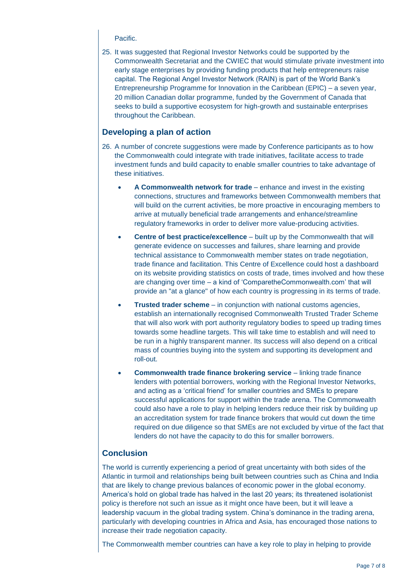Pacific.

25. It was suggested that Regional Investor Networks could be supported by the Commonwealth Secretariat and the CWIEC that would stimulate private investment into early stage enterprises by providing funding products that help entrepreneurs raise capital. The Regional Angel Investor Network (RAIN) is part of the World Bank's Entrepreneurship Programme for Innovation in the Caribbean (EPIC) – a seven year, 20 million Canadian dollar programme, funded by the Government of Canada that seeks to build a supportive ecosystem for high-growth and sustainable enterprises throughout the Caribbean.

#### **Developing a plan of action**

- 26. A number of concrete suggestions were made by Conference participants as to how the Commonwealth could integrate with trade initiatives, facilitate access to trade investment funds and build capacity to enable smaller countries to take advantage of these initiatives.
	- **A Commonwealth network for trade** enhance and invest in the existing connections, structures and frameworks between Commonwealth members that will build on the current activities, be more proactive in encouraging members to arrive at mutually beneficial trade arrangements and enhance/streamline regulatory frameworks in order to deliver more value-producing activities.
	- **Centre of best practice/excellence** built up by the Commonwealth that will generate evidence on successes and failures, share learning and provide technical assistance to Commonwealth member states on trade negotiation, trade finance and facilitation. This Centre of Excellence could host a dashboard on its website providing statistics on costs of trade, times involved and how these are changing over time – a kind of 'ComparetheCommonwealth.com' that will provide an "at a glance" of how each country is progressing in its terms of trade.
	- **Trusted trader scheme** in conjunction with national customs agencies, establish an internationally recognised Commonwealth Trusted Trader Scheme that will also work with port authority regulatory bodies to speed up trading times towards some headline targets. This will take time to establish and will need to be run in a highly transparent manner. Its success will also depend on a critical mass of countries buying into the system and supporting its development and roll-out.
	- **Commonwealth trade finance brokering service** linking trade finance lenders with potential borrowers, working with the Regional Investor Networks, and acting as a 'critical friend' for smaller countries and SMEs to prepare successful applications for support within the trade arena. The Commonwealth could also have a role to play in helping lenders reduce their risk by building up an accreditation system for trade finance brokers that would cut down the time required on due diligence so that SMEs are not excluded by virtue of the fact that lenders do not have the capacity to do this for smaller borrowers.

#### **Conclusion**

The world is currently experiencing a period of great uncertainty with both sides of the Atlantic in turmoil and relationships being built between countries such as China and India that are likely to change previous balances of economic power in the global economy. America's hold on global trade has halved in the last 20 years; its threatened isolationist policy is therefore not such an issue as it might once have been, but it will leave a leadership vacuum in the global trading system. China's dominance in the trading arena, particularly with developing countries in Africa and Asia, has encouraged those nations to increase their trade negotiation capacity.

The Commonwealth member countries can have a key role to play in helping to provide